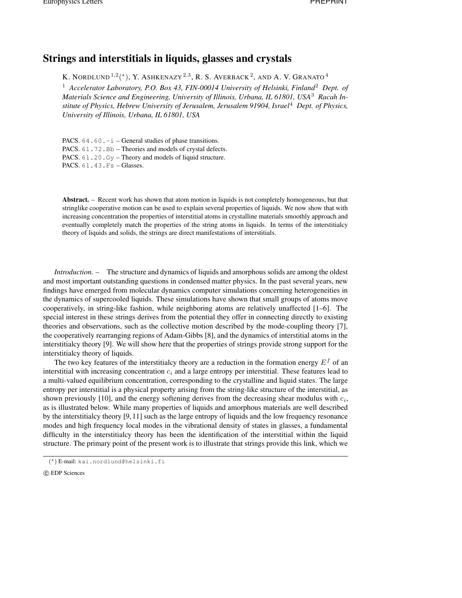## **Strings and interstitials in liquids, glasses and crystals**

K. NORDLUND $^{1,2}(^*)$ , Y. Ashkenazy $^{2,3}$ , R. S. Averback $^2$ , and A. V. Granato $^4$ 

<sup>1</sup> *Accelerator Laboratory, P.O. Box 43, FIN-00014 University of Helsinki, Finland*<sup>2</sup> *Dept. of Materials Science and Engineering, University of Illinois, Urbana, IL 61801, USA*<sup>3</sup> *Racah Institute of Physics, Hebrew University of Jerusalem, Jerusalem 91904, Israel*<sup>4</sup> *Dept. of Physics, University of Illinois, Urbana, IL 61801, USA*

PACS.  $64.60.-i$  – General studies of phase transitions. PACS. 61.72.Bb – Theories and models of crystal defects. PACS. 61.20.Gy – Theory and models of liquid structure. PACS. 61.43.Fs – Glasses.

**Abstract.** – Recent work has shown that atom motion in liquids is not completely homogeneous, but that stringlike cooperative motion can be used to explain several properties of liquids. We now show that with increasing concentration the properties of interstitial atoms in crystalline materials smoothly approach and eventually completely match the properties of the string atoms in liquids. In terms of the interstitialcy theory of liquids and solids, the strings are direct manifestations of interstitials.

*Introduction. –* The structure and dynamics of liquids and amorphous solids are among the oldest and most important outstanding questions in condensed matter physics. In the past several years, new findings have emerged from molecular dynamics computer simulations concerning heterogeneities in the dynamics of supercooled liquids. These simulations have shown that small groups of atoms move cooperatively, in string-like fashion, while neighboring atoms are relatively unaffected [1–6]. The special interest in these strings derives from the potential they offer in connecting directly to existing theories and observations, such as the collective motion described by the mode-coupling theory [7], the cooperatively rearranging regions of Adam-Gibbs [8], and the dynamics of interstitial atoms in the interstitialcy theory [9]. We will show here that the properties of strings provide strong support for the interstitialcy theory of liquids.

The two key features of the interstitialcy theory are a reduction in the formation energy  $E<sup>f</sup>$  of an interstitial with increasing concentration  $c_i$  and a large entropy per interstitial. These features lead to a multi-valued equilibrium concentration, corresponding to the crystalline and liquid states. The large entropy per interstitial is a physical property arising from the string-like structure of the interstitial, as shown previously [10], and the energy softening derives from the decreasing shear modulus with  $c_i$ , as is illustrated below. While many properties of liquids and amorphous materials are well described by the interstitialcy theory [9,11] such as the large entropy of liquids and the low frequency resonance modes and high frequency local modes in the vibrational density of states in glasses, a fundamental difficulty in the interstitialcy theory has been the identification of the interstitial within the liquid structure. The primary point of the present work is to illustrate that strings provide this link, which we

<sup>(</sup> <sup>∗</sup>) E-mail: kai.nordlund@helsinki.fi

c EDP Sciences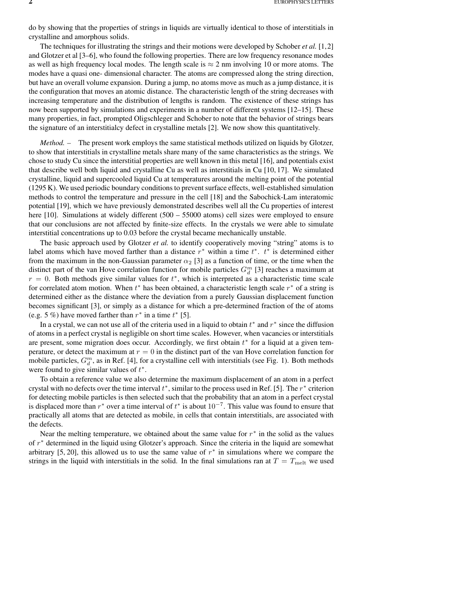do by showing that the properties of strings in liquids are virtually identical to those of interstitials in crystalline and amorphous solids.

The techniques for illustrating the strings and their motions were developed by Schober *et al.* [1,2] and Glotzer et al [3–6], who found the following properties. There are low frequency resonance modes as well as high frequency local modes. The length scale is  $\approx$  2 nm involving 10 or more atoms. The modes have a quasi one- dimensional character. The atoms are compressed along the string direction, but have an overall volume expansion. During a jump, no atoms move as much as a jump distance, it is the configuration that moves an atomic distance. The characteristic length of the string decreases with increasing temperature and the distribution of lengths is random. The existence of these strings has now been supported by simulations and experiments in a number of different systems [12–15]. These many properties, in fact, prompted Oligschleger and Schober to note that the behavior of strings bears the signature of an interstitialcy defect in crystalline metals [2]. We now show this quantitatively.

*Method. –* The present work employs the same statistical methods utilized on liquids by Glotzer, to show that interstitials in crystalline metals share many of the same characteristics as the strings. We chose to study Cu since the interstitial properties are well known in this metal [16], and potentials exist that describe well both liquid and crystalline Cu as well as interstitials in Cu [10, 17]. We simulated crystalline, liquid and supercooled liquid Cu at temperatures around the melting point of the potential (1295 K). We used periodic boundary conditionsto preventsurface effects, well-established simulation methods to control the temperature and pressure in the cell [18] and the Sabochick-Lam interatomic potential [19], which we have previously demonstrated describes well all the Cu properties of interest here [10]. Simulations at widely different (500 – 55000 atoms) cell sizes were employed to ensure that our conclusions are not affected by finite-size effects. In the crystals we were able to simulate interstitial concentrations up to 0.03 before the crystal became mechanically unstable.

The basic approach used by Glotzer *et al.* to identify cooperatively moving "string" atoms is to label atoms which have moved farther than a distance  $r^*$  within a time  $t^*$ .  $t^*$  is determined either from the maximum in the non-Gaussian parameter  $\alpha_2$  [3] as a function of time, or the time when the distinct part of the van Hove correlation function for mobile particles  $G_d^m$  [3] reaches a maximum at  $r = 0$ . Both methods give similar values for  $t^*$ , which is interpreted as a characteristic time scale for correlated atom motion. When  $t^*$  has been obtained, a characteristic length scale  $r^*$  of a string is determined either as the distance where the deviation from a purely Gaussian displacement function becomes significant [3], or simply as a distance for which a pre-determined fraction of the of atoms (e.g. 5 %) have moved farther than  $r^*$  in a time  $t^*$  [5].

In a crystal, we can not use all of the criteria used in a liquid to obtain  $t^*$  and  $r^*$  since the diffusion of atoms in a perfect crystal is negligible on short time scales. However, when vacancies or interstitials are present, some migration does occur. Accordingly, we first obtain  $t^*$  for a liquid at a given temperature, or detect the maximum at  $r = 0$  in the distinct part of the van Hove correlation function for mobile particles,  $G_d^m$ , as in Ref. [4], for a crystalline cell with interstitials (see Fig. 1). Both methods were found to give similar values of  $t^*$ .

To obtain a reference value we also determine the maximum displacement of an atom in a perfect crystal with no defects over the time interval  $t^*$ , similar to the process used in Ref. [5]. The  $r^*$  criterion for detecting mobile particles is then selected such that the probability that an atom in a perfect crystal is displaced more than  $r^*$  over a time interval of  $t^*$  is about  $10^{-7}$ . This value was found to ensure that practically all atoms that are detected as mobile, in cells that contain interstitials, are associated with the defects.

Near the melting temperature, we obtained about the same value for  $r^*$  in the solid as the values of r <sup>∗</sup> determined in the liquid using Glotzer's approach. Since the criteria in the liquid are somewhat arbitrary [5, 20], this allowed us to use the same value of  $r^*$  in simulations where we compare the strings in the liquid with interstitials in the solid. In the final simulations ran at  $T = T_{\text{melt}}$  we used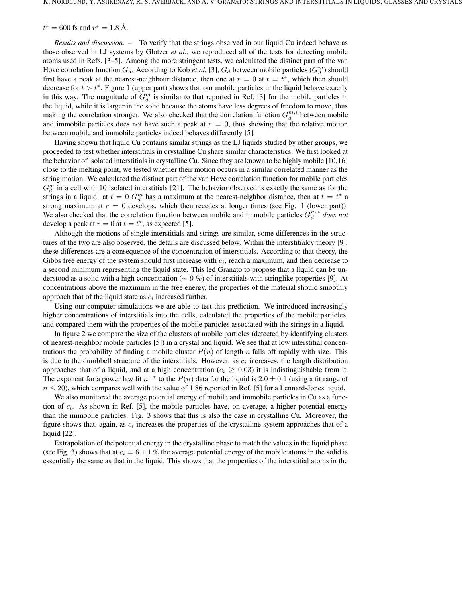$t^* = 600$  fs and  $r^* = 1.8$  Å.

*Results and discussion. –* To verify that the strings observed in our liquid Cu indeed behave as those observed in LJ systems by Glotzer *et al.*, we reproduced all of the tests for detecting mobile atoms used in Refs. [3–5]. Among the more stringent tests, we calculated the distinct part of the van Hove correlation function  $G_d$ . According to Kob *et al.* [3],  $G_d$  between mobile particles  $(G_d^m)$  should first have a peak at the nearest-neighbour distance, then one at  $r = 0$  at  $t = t^*$ , which then should decrease for  $t > t^*$ . Figure 1 (upper part) shows that our mobile particles in the liquid behave exactly in this way. The magnitude of  $G_d^m$  is similar to that reported in Ref. [3] for the mobile particles in the liquid, while it is larger in the solid because the atoms have less degrees of freedom to move, thus making the correlation stronger. We also checked that the correlation function  $G_d^{m,i}$  between mobile and immobile particles does not have such a peak at  $r = 0$ , thus showing that the relative motion between mobile and immobile particles indeed behaves differently [5].

Having shown that liquid Cu contains similar strings as the LJ liquids studied by other groups, we proceeded to test whether interstitials in crystalline Cu share similar characteristics. We first looked at the behavior of isolated interstitials in crystalline Cu. Since they are known to be highly mobile [10,16] close to the melting point, we tested whether their motion occurs in a similar correlated manner as the string motion. We calculated the distinct part of the van Hove correlation function for mobile particles  $G_d^m$  in a cell with 10 isolated interstitials [21]. The behavior observed is exactly the same as for the strings in a liquid: at  $t = 0$   $G_d^m$  has a maximum at the nearest-neighbor distance, then at  $t = t^*$  a strong maximum at  $r = 0$  develops, which then recedes at longer times (see Fig. 1 (lower part)). We also checked that the correlation function between mobile and immobile particles  $G_d^{m,i}$  does not develop a peak at  $r = 0$  at  $t = t^*$ , as expected [5].

Although the motions of single interstitials and strings are similar, some differences in the structures of the two are also observed, the details are discussed below. Within the interstitialcy theory [9], these differences are a consequence of the concentration of interstitials. According to that theory, the Gibbs free energy of the system should first increase with  $c_i$ , reach a maximum, and then decrease to a second minimum representing the liquid state. This led Granato to propose that a liquid can be understood as a solid with a high concentration ( $\sim$  9 %) of interstitials with stringlike properties [9]. At concentrations above the maximum in the free energy, the properties of the material should smoothly approach that of the liquid state as  $c_i$  increased further.

Using our computer simulations we are able to test this prediction. We introduced increasingly higher concentrations of interstitials into the cells, calculated the properties of the mobile particles, and compared them with the properties of the mobile particles associated with the strings in a liquid.

In figure 2 we compare the size of the clusters of mobile particles (detected by identifying clusters of nearest-neighbor mobile particles [5]) in a crystal and liquid. We see that at low interstitial concentrations the probability of finding a mobile cluster  $P(n)$  of length n falls off rapidly with size. This is due to the dumbbell structure of the interstitials. However, as  $c_i$  increases, the length distribution approaches that of a liquid, and at a high concentration ( $c_i \geq 0.03$ ) it is indistinguishable from it. The exponent for a power law fit  $n^{-\tau}$  to the  $P(n)$  data for the liquid is  $2.0 \pm 0.1$  (using a fit range of  $n \leq 20$ , which compares well with the value of 1.86 reported in Ref. [5] for a Lennard-Jones liquid.

We also monitored the average potential energy of mobile and immobile particles in Cu as a function of  $c_i$ . As shown in Ref. [5], the mobile particles have, on average, a higher potential energy than the immobile particles. Fig. 3 shows that this is also the case in crystalline Cu. Moreover, the figure shows that, again, as  $c_i$  increases the properties of the crystalline system approaches that of a liquid [22].

Extrapolation of the potential energy in the crystalline phase to match the values in the liquid phase (see Fig. 3) shows that at  $c_i = 6 \pm 1$  % the average potential energy of the mobile atoms in the solid is essentially the same as that in the liquid. This shows that the properties of the interstitial atoms in the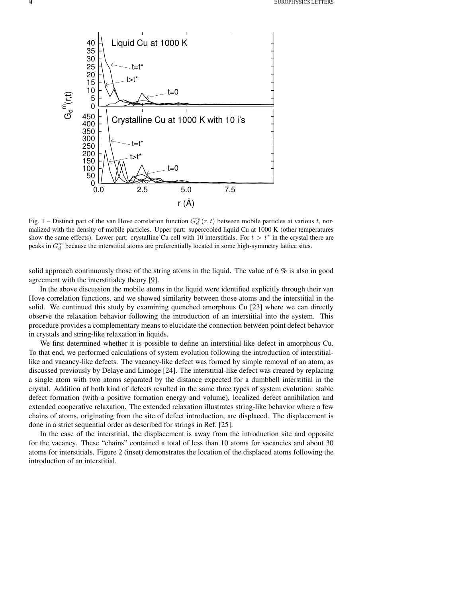

Fig. 1 – Distinct part of the van Hove correlation function  $G_d^m(r,t)$  between mobile particles at various t, normalized with the density of mobile particles. Upper part: supercooled liquid Cu at 1000 K (other temperatures show the same effects). Lower part: crystalline Cu cell with 10 interstitials. For  $t > t^*$  in the crystal there are peaks in  $G_d^m$  because the interstitial atoms are preferentially located in some high-symmetry lattice sites.

solid approach continuously those of the string atoms in the liquid. The value of 6  $\%$  is also in good agreement with the interstitialcy theory [9].

In the above discussion the mobile atoms in the liquid were identified explicitly through their van Hove correlation functions, and we showed similarity between those atoms and the interstitial in the solid. We continued this study by examining quenched amorphous Cu [23] where we can directly observe the relaxation behavior following the introduction of an interstitial into the system. This procedure provides a complementary means to elucidate the connection between point defect behavior in crystals and string-like relaxation in liquids.

We first determined whether it is possible to define an interstitial-like defect in amorphous Cu. To that end, we performed calculations of system evolution following the introduction of interstitiallike and vacancy-like defects. The vacancy-like defect was formed by simple removal of an atom, as discussed previously by Delaye and Limoge [24]. The interstitial-like defect was created by replacing a single atom with two atoms separated by the distance expected for a dumbbell interstitial in the crystal. Addition of both kind of defects resulted in the same three types of system evolution: stable defect formation (with a positive formation energy and volume), localized defect annihilation and extended cooperative relaxation. The extended relaxation illustrates string-like behavior where a few chains of atoms, originating from the site of defect introduction, are displaced. The displacement is done in a strict sequential order as described for strings in Ref. [25].

In the case of the interstitial, the displacement is away from the introduction site and opposite for the vacancy. These "chains" contained a total of less than 10 atoms for vacancies and about 30 atoms for interstitials. Figure 2 (inset) demonstrates the location of the displaced atoms following the introduction of an interstitial.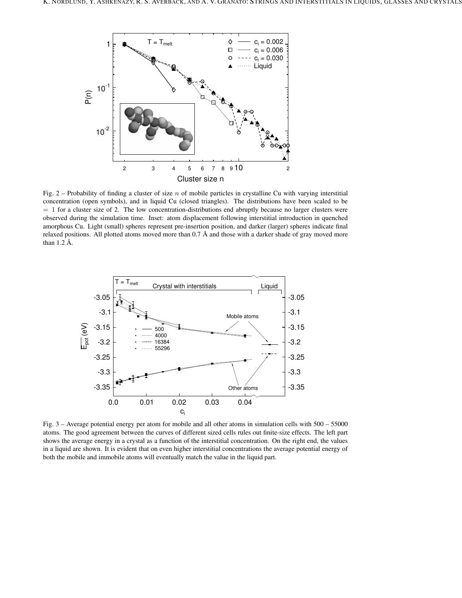

Fig. 2 – Probability of finding a cluster of size n of mobile particles in crystalline Cu with varying interstitial concentration (open symbols), and in liquid Cu (closed triangles). The distributions have been scaled to be  $= 1$  for a cluster size of 2. The low concentration-distributions end abruptly because no larger clusters were observed during the simulation time. Inset: atom displacement following interstitial introduction in quenched amorphous Cu. Light (small) spheres represent pre-insertion position, and darker (larger) spheres indicate final relaxed positions. All plotted atoms moved more than  $0.7 \text{ Å}$  and those with a darker shade of gray moved more than  $1.2 \text{ Å}$ .



Fig. 3 – Average potential energy per atom for mobile and all other atoms in simulation cells with 500 – 55000 atoms. The good agreement between the curves of different sized cells rules out finite-size effects. The left part shows the average energy in a crystal as a function of the interstitial concentration. On the right end, the values in a liquid are shown. It is evident that on even higher interstitial concentrations the average potential energy of both the mobile and immobile atoms will eventually match the value in the liquid part.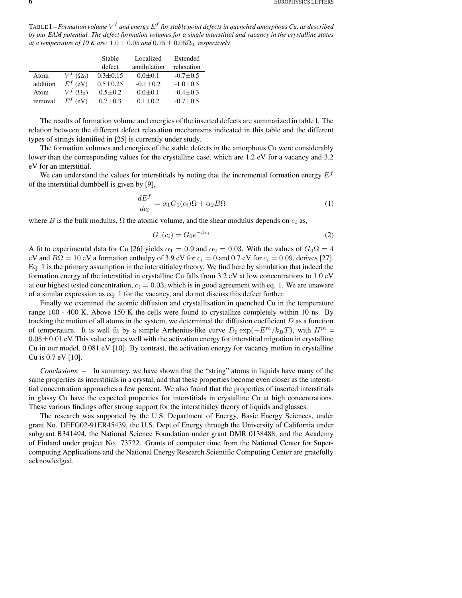TABLE I – *Formation volume*  $V^f$  *and energy*  $E^f$  *for stable point defects in quenched amorphous Cu, as described* by our EAM potential. The defect formation volumes for a single interstitial and vacancy in the crystalline states *at a temperature of* 10 *K are:*  $1.0 \pm 0.05$  *and*  $0.75 \pm 0.05\Omega_0$ *, respectively.* 

|          |                            | Stable         | Localized    | Extended       |
|----------|----------------------------|----------------|--------------|----------------|
|          |                            | defect         | annihilation | relaxation     |
| Atom     | $V^f\left(\Omega_0\right)$ | $0.3 \pm 0.15$ | $0.0 + 0.1$  | $-0.7 \pm 0.5$ |
| addition | $E^f$ (eV)                 | $0.5 \pm 0.25$ | $-0.1 + 0.2$ | $-1.0+0.5$     |
| Atom     | $V^f(\Omega_0)$            | $0.5 + 0.2$    | $0.0 + 0.1$  | $-0.4 + 0.3$   |
| removal  | $E^f$ (eV)                 | $0.7 + 0.3$    | $0.1 + 0.2$  | $-0.7+0.5$     |

The results of formation volume and energies of the inserted defects are summarized in table I. The relation between the different defect relaxation mechanisms indicated in this table and the different types of strings identified in [25] is currently under study.

The formation volumes and energies of the stable defects in the amorphous Cu were considerably lower than the corresponding values for the crystalline case, which are 1.2 eV for a vacancy and 3.2 eV for an interstitial.

We can understand the values for interstitials by noting that the incremental formation energy  $E<sup>f</sup>$ of the interstitial dumbbell is given by [9],

$$
\frac{dE^f}{dc_i} = \alpha_1 G_1(c_i)\Omega + \alpha_2 B\Omega\tag{1}
$$

where B is the bulk modulus,  $\Omega$  the atomic volume, and the shear modulus depends on  $c_i$  as,

$$
G_1(c_i) = G_0 e^{-\beta c_i}
$$
 (2)

A fit to experimental data for Cu [26] yields  $\alpha_1 = 0.9$  and  $\alpha_2 = 0.03$ . With the values of  $G_0\Omega = 4$ eV and  $B\Omega = 10$  eV a formation enthalpy of 3.9 eV for  $c_i = 0$  and 0.7 eV for  $c_i = 0.09$ , derives [27]. Eq. 1 is the primary assumption in the interstitialcy theory. We find here by simulation that indeed the formation energy of the interstitial in crystalline Cu falls from 3.2 eV at low concentrations to 1.0 eV at our highest tested concentration,  $c_i = 0.03$ , which is in good agreement with eq. 1. We are unaware of a similar expression as eq. 1 for the vacancy, and do not discuss this defect further.

Finally we examined the atomic diffusion and crystallisation in quenched Cu in the temperature range 100 - 400 K. Above 150 K the cells were found to crystallize completely within 10 ns. By tracking the motion of all atoms in the system, we determined the diffusion coefficient  $D$  as a function of temperature. It is well fit by a simple Arrhenius-like curve  $D_0 \exp(-E^m/k_BT)$ , with  $H^m =$  $0.08\pm0.01$  eV. This value agrees well with the activation energy for interstitial migration in crystalline Cu in our model, 0.081 eV [10]. By contrast, the activation energy for vacancy motion in crystalline Cu is 0.7 eV [10].

*Conclusions. –* In summary, we have shown that the "string" atoms in liquids have many of the same properties as interstitials in a crystal, and that these properties become even closer as the interstitial concentration approaches a few percent. We also found that the properties of inserted interstitials in glassy Cu have the expected properties for interstitials in crystalline Cu at high concentrations. These various findings offer strong support for the interstitialcy theory of liquids and glasses.

The research was supported by the U.S. Department of Energy, Basic Energy Sciences, under grant No. DEFG02-91ER45439, the U.S. Dept.of Energy through the University of California under subgrant B341494, the National Science Foundation under grant DMR 0138488, and the Academy of Finland under project No. 73722. Grants of computer time from the National Center for Supercomputing Applications and the National Energy Research Scientific Computing Center are gratefully acknowledged.